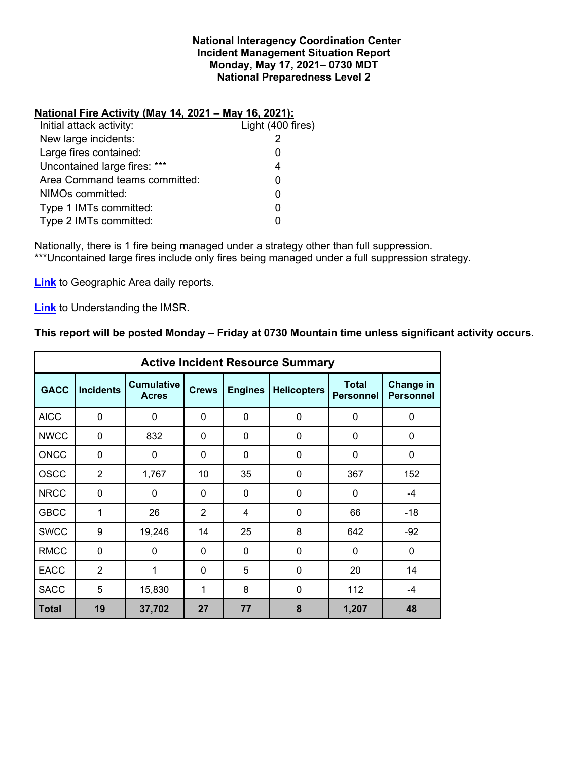#### **National Interagency Coordination Center Incident Management Situation Report Monday, May 17, 2021– 0730 MDT National Preparedness Level 2**

#### **National Fire Activity (May 14, 2021 – May 16, 2021):**

| Initial attack activity:      | Light (400 fires) |
|-------------------------------|-------------------|
| New large incidents:          |                   |
| Large fires contained:        |                   |
| Uncontained large fires: ***  |                   |
| Area Command teams committed: |                   |
| NIMOs committed:              |                   |
| Type 1 IMTs committed:        |                   |
| Type 2 IMTs committed:        |                   |
|                               |                   |

Nationally, there is 1 fire being managed under a strategy other than full suppression. \*\*\*Uncontained large fires include only fires being managed under a full suppression strategy.

**[Link](http://www.nifc.gov/nicc/predictive/statelinks.htm)** to Geographic Area daily reports.

**[Link](https://www.predictiveservices.nifc.gov/intelligence/Understanding%20the%20IMSR%202019.pdf)** to Understanding the IMSR.

### **This report will be posted Monday – Friday at 0730 Mountain time unless significant activity occurs.**

| <b>Active Incident Resource Summary</b> |                  |                                   |                |                |                    |                                  |                               |  |
|-----------------------------------------|------------------|-----------------------------------|----------------|----------------|--------------------|----------------------------------|-------------------------------|--|
| <b>GACC</b>                             | <b>Incidents</b> | <b>Cumulative</b><br><b>Acres</b> | <b>Crews</b>   | <b>Engines</b> | <b>Helicopters</b> | <b>Total</b><br><b>Personnel</b> | Change in<br><b>Personnel</b> |  |
| <b>AICC</b>                             | $\mathbf 0$      | 0                                 | 0              | $\mathbf 0$    | 0                  | 0                                | $\mathbf 0$                   |  |
| <b>NWCC</b>                             | 0                | 832                               | 0              | $\mathbf{0}$   | 0                  | 0                                | 0                             |  |
| <b>ONCC</b>                             | $\mathbf{0}$     | 0                                 | $\Omega$       | $\Omega$       | $\Omega$           | $\Omega$                         | $\mathbf 0$                   |  |
| <b>OSCC</b>                             | $\overline{2}$   | 1,767                             | 10             | 35             | 0                  | 367                              | 152                           |  |
| <b>NRCC</b>                             | 0                | 0                                 | $\mathbf{0}$   | $\mathbf{0}$   | $\mathbf{0}$       | 0                                | -4                            |  |
| <b>GBCC</b>                             | 1                | 26                                | $\overline{2}$ | 4              | 0                  | 66                               | $-18$                         |  |
| <b>SWCC</b>                             | 9                | 19,246                            | 14             | 25             | 8                  | 642                              | $-92$                         |  |
| <b>RMCC</b>                             | $\mathbf 0$      | 0                                 | $\Omega$       | $\mathbf{0}$   | $\mathbf{0}$       | 0                                | 0                             |  |
| <b>EACC</b>                             | $\overline{2}$   | 1                                 | $\mathbf{0}$   | 5              | 0                  | 20                               | 14                            |  |
| <b>SACC</b>                             | 5                | 15,830                            | $\mathbf{1}$   | 8              | $\Omega$           | 112                              | -4                            |  |
| <b>Total</b>                            | 19               | 37,702                            | 27             | 77             | 8                  | 1,207                            | 48                            |  |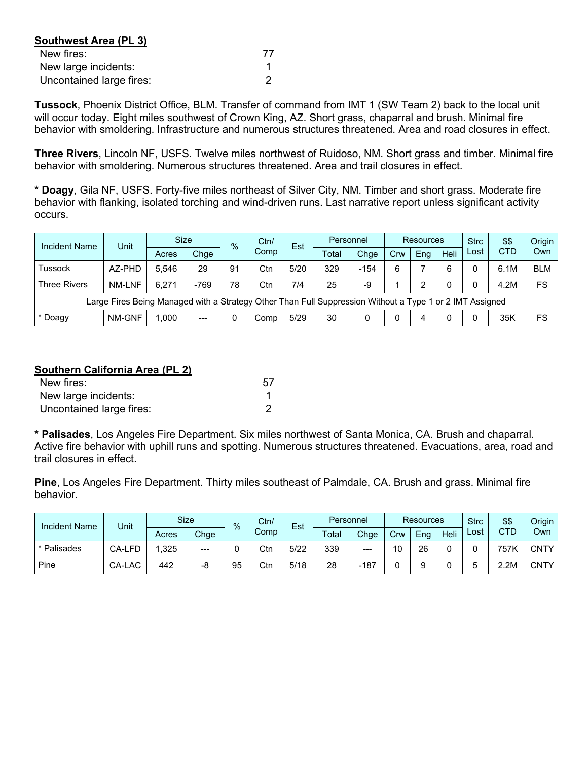| Southwest Area (PL 3)    |    |  |  |  |  |  |
|--------------------------|----|--|--|--|--|--|
| New fires:               | 77 |  |  |  |  |  |
| New large incidents:     |    |  |  |  |  |  |
| Uncontained large fires: |    |  |  |  |  |  |

**Tussock**, Phoenix District Office, BLM. Transfer of command from IMT 1 (SW Team 2) back to the local unit will occur today. Eight miles southwest of Crown King, AZ. Short grass, chaparral and brush. Minimal fire behavior with smoldering. Infrastructure and numerous structures threatened. Area and road closures in effect.

**Three Rivers**, Lincoln NF, USFS. Twelve miles northwest of Ruidoso, NM. Short grass and timber. Minimal fire behavior with smoldering. Numerous structures threatened. Area and trail closures in effect.

**\* Doagy**, Gila NF, USFS. Forty-five miles northeast of Silver City, NM. Timber and short grass. Moderate fire behavior with flanking, isolated torching and wind-driven runs. Last narrative report unless significant activity occurs.

| Incident Name                                                                                            | Unit          | Size  |        | $\%$ | Ctn/ | Est  | Personnel |        | <b>Resources</b> |     |      | <b>Strc</b> | \$\$       | Origin     |
|----------------------------------------------------------------------------------------------------------|---------------|-------|--------|------|------|------|-----------|--------|------------------|-----|------|-------------|------------|------------|
|                                                                                                          |               | Acres | Chge   |      | Comp |      | Total     | Chge   | Crw              | Ena | Heli | Lost        | <b>CTD</b> | Own        |
| Tussock                                                                                                  | AZ-PHD        | 5.546 | 29     | 91   | Ctn  | 5/20 | 329       | $-154$ | 6                |     | 6    |             | 6.1M       | <b>BLM</b> |
| <b>Three Rivers</b>                                                                                      | <b>NM-LNF</b> | 6.271 | $-769$ | 78   | Ctn  | 7/4  | 25        | -9     |                  | っ   |      |             | 4.2M       | FS         |
| Large Fires Being Managed with a Strategy Other Than Full Suppression Without a Type 1 or 2 IMT Assigned |               |       |        |      |      |      |           |        |                  |     |      |             |            |            |
| * Doagy                                                                                                  | NM-GNF        | 000.  | $---$  | 0    | Comp | 5/29 | 30        |        |                  | 4   |      |             | 35K        | FS         |

### **Southern California Area (PL 2)**

| New fires:               |  |
|--------------------------|--|
| New large incidents:     |  |
| Uncontained large fires: |  |

**\* Palisades**, Los Angeles Fire Department. Six miles northwest of Santa Monica, CA. Brush and chaparral. Active fire behavior with uphill runs and spotting. Numerous structures threatened. Evacuations, area, road and trail closures in effect.

**Pine**, Los Angeles Fire Department. Thirty miles southeast of Palmdale, CA. Brush and grass. Minimal fire behavior.

| <b>Incident Name</b> | Unit   |       | Size  | $\frac{0}{0}$ | Ctn/ | Est  | Personnel |        | <b>Resources</b> |     |      | \$\$<br><b>Strc</b> |      | Origin      |
|----------------------|--------|-------|-------|---------------|------|------|-----------|--------|------------------|-----|------|---------------------|------|-------------|
|                      |        | Acres | Chge  |               | Comp |      | Total     | Chge   | Crw              | Eng | Heli | Lost                | CTD  | Own         |
| * Palisades          | CA-LFD | ,325  | $---$ |               | Ctn  | 5/22 | 339       | $---$  | 10               | 26  |      |                     | 757K | <b>CNTY</b> |
| Pine                 | CA-LAC | 442   | -8    | 95            | Ctn  | 5/18 | 28        | $-187$ |                  |     |      |                     | 2.2M | <b>CNTY</b> |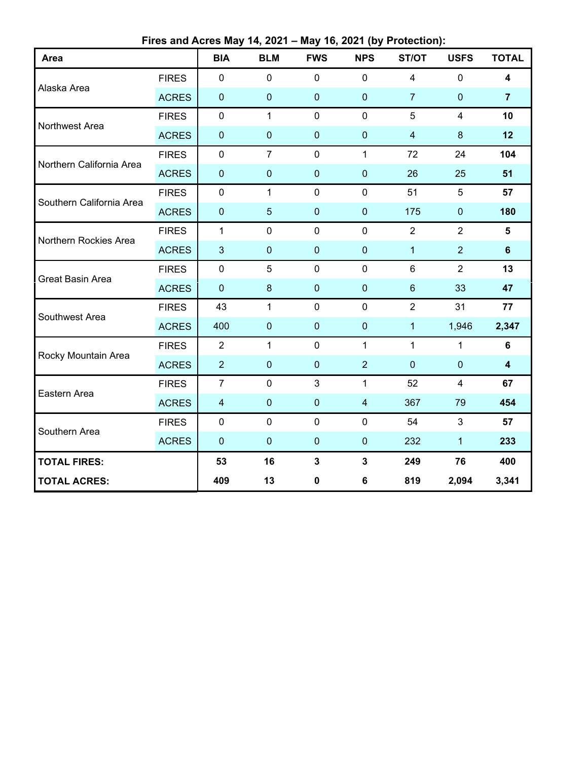**Fires and Acres May 14, 2021 – May 16, 2021 (by Protection):**

| Area                     |              | <b>BIA</b>              | <b>BLM</b>     | <b>FWS</b>   | <b>NPS</b>              | ST/OT          | <b>USFS</b>             | <b>TOTAL</b>            |
|--------------------------|--------------|-------------------------|----------------|--------------|-------------------------|----------------|-------------------------|-------------------------|
|                          | <b>FIRES</b> | 0                       | $\mathbf 0$    | 0            | $\mathbf 0$             | $\overline{4}$ | $\mathbf 0$             | 4                       |
| Alaska Area              | <b>ACRES</b> | $\pmb{0}$               | $\pmb{0}$      | $\pmb{0}$    | $\pmb{0}$               | $\overline{7}$ | $\pmb{0}$               | $\overline{7}$          |
| Northwest Area           | <b>FIRES</b> | $\pmb{0}$               | $\mathbf{1}$   | $\mathbf 0$  | $\mathbf 0$             | 5              | $\overline{4}$          | 10                      |
|                          | <b>ACRES</b> | $\pmb{0}$               | $\pmb{0}$      | $\bf 0$      | $\pmb{0}$               | $\overline{4}$ | $\bf 8$                 | 12                      |
| Northern California Area | <b>FIRES</b> | $\pmb{0}$               | $\overline{7}$ | $\mathbf 0$  | $\mathbf{1}$            | 72             | 24                      | 104                     |
|                          | <b>ACRES</b> | $\pmb{0}$               | $\mathbf 0$    | $\mathbf 0$  | $\mathbf 0$             | 26             | 25                      | 51                      |
| Southern California Area | <b>FIRES</b> | $\pmb{0}$               | $\mathbf{1}$   | $\mathbf 0$  | $\mathbf 0$             | 51             | 5                       | 57                      |
|                          | <b>ACRES</b> | $\pmb{0}$               | $\overline{5}$ | $\mathbf 0$  | $\mathbf 0$             | 175            | $\pmb{0}$               | 180                     |
| Northern Rockies Area    | <b>FIRES</b> | $\mathbf{1}$            | $\mathbf 0$    | $\mathbf 0$  | 0                       | $\overline{2}$ | $\overline{2}$          | 5                       |
|                          | <b>ACRES</b> | 3                       | $\mathbf 0$    | $\mathbf 0$  | $\mathbf 0$             | $\mathbf{1}$   | $\overline{2}$          | $6\phantom{a}$          |
| Great Basin Area         | <b>FIRES</b> | $\pmb{0}$               | 5              | $\pmb{0}$    | $\mathbf 0$             | $6\phantom{1}$ | $\overline{2}$          | 13                      |
|                          | <b>ACRES</b> | $\pmb{0}$               | $\bf 8$        | $\mathbf{0}$ | $\mathbf 0$             | $\,6$          | 33                      | 47                      |
| Southwest Area           | <b>FIRES</b> | 43                      | $\mathbf{1}$   | $\pmb{0}$    | $\pmb{0}$               | $\overline{2}$ | 31                      | 77                      |
|                          | <b>ACRES</b> | 400                     | $\mathbf 0$    | $\mathbf 0$  | $\pmb{0}$               | $\mathbf{1}$   | 1,946                   | 2,347                   |
| Rocky Mountain Area      | <b>FIRES</b> | $\overline{2}$          | $\mathbf{1}$   | $\mathbf 0$  | $\mathbf{1}$            | $\mathbf{1}$   | 1                       | 6                       |
|                          | <b>ACRES</b> | $\overline{2}$          | $\pmb{0}$      | $\pmb{0}$    | $\overline{2}$          | $\mathbf 0$    | $\pmb{0}$               | $\overline{\mathbf{4}}$ |
| Eastern Area             | <b>FIRES</b> | $\overline{7}$          | $\pmb{0}$      | 3            | $\mathbf{1}$            | 52             | $\overline{\mathbf{4}}$ | 67                      |
|                          | <b>ACRES</b> | $\overline{\mathbf{4}}$ | $\mathbf 0$    | $\pmb{0}$    | $\overline{\mathbf{4}}$ | 367            | 79                      | 454                     |
| Southern Area            | <b>FIRES</b> | $\mathbf 0$             | $\mathbf 0$    | $\mathbf 0$  | $\mathbf 0$             | 54             | 3                       | 57                      |
|                          | <b>ACRES</b> | $\pmb{0}$               | $\pmb{0}$      | $\bf 0$      | $\pmb{0}$               | 232            | $\mathbf{1}$            | 233                     |
| <b>TOTAL FIRES:</b>      |              | 53                      | 16             | $\mathbf 3$  | $\mathbf{3}$            | 249            | 76                      | 400                     |
| <b>TOTAL ACRES:</b>      |              | 409                     | 13             | 0            | 6                       | 819            | 2,094                   | 3,341                   |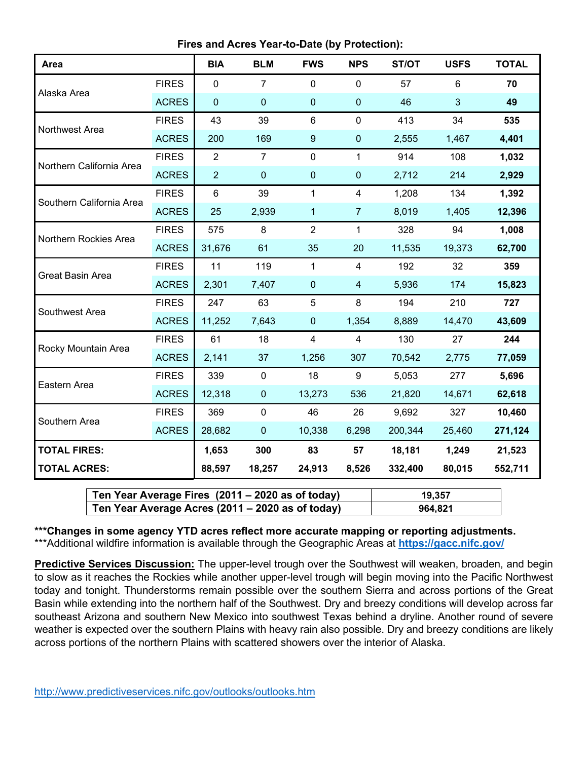**Fires and Acres Year-to-Date (by Protection):**

| Area                     |              | <b>BIA</b>       | <b>BLM</b>     | <b>FWS</b>       | <b>NPS</b>     | ST/OT   | <b>USFS</b> | <b>TOTAL</b> |
|--------------------------|--------------|------------------|----------------|------------------|----------------|---------|-------------|--------------|
| Alaska Area              | <b>FIRES</b> | $\mathbf 0$      | $\overline{7}$ | 0                | $\mathbf 0$    | 57      | 6           | 70           |
|                          | <b>ACRES</b> | $\boldsymbol{0}$ | $\mathbf 0$    | $\pmb{0}$        | $\pmb{0}$      | 46      | 3           | 49           |
| Northwest Area           | <b>FIRES</b> | 43               | 39             | 6                | $\mathbf 0$    | 413     | 34          | 535          |
|                          | <b>ACRES</b> | 200              | 169            | $\boldsymbol{9}$ | $\pmb{0}$      | 2,555   | 1,467       | 4,401        |
| Northern California Area | <b>FIRES</b> | $\overline{2}$   | $\overline{7}$ | 0                | $\mathbf{1}$   | 914     | 108         | 1,032        |
|                          | <b>ACRES</b> | $\overline{2}$   | $\mathbf 0$    | $\mathbf 0$      | $\pmb{0}$      | 2,712   | 214         | 2,929        |
| Southern California Area | <b>FIRES</b> | $\,6$            | 39             | 1                | 4              | 1,208   | 134         | 1,392        |
|                          | <b>ACRES</b> | 25               | 2,939          | 1                | $\overline{7}$ | 8,019   | 1,405       | 12,396       |
| Northern Rockies Area    | <b>FIRES</b> | 575              | 8              | $\overline{2}$   | 1              | 328     | 94          | 1,008        |
|                          | <b>ACRES</b> | 31,676           | 61             | 35               | 20             | 11,535  | 19,373      | 62,700       |
| <b>Great Basin Area</b>  | <b>FIRES</b> | 11               | 119            | $\mathbf{1}$     | $\overline{4}$ | 192     | 32          | 359          |
|                          | <b>ACRES</b> | 2,301            | 7,407          | $\overline{0}$   | $\overline{4}$ | 5,936   | 174         | 15,823       |
| Southwest Area           | <b>FIRES</b> | 247              | 63             | 5                | 8              | 194     | 210         | 727          |
|                          | <b>ACRES</b> | 11,252           | 7,643          | $\mathbf 0$      | 1,354          | 8,889   | 14,470      | 43,609       |
| Rocky Mountain Area      | <b>FIRES</b> | 61               | 18             | $\overline{4}$   | $\overline{4}$ | 130     | 27          | 244          |
|                          | <b>ACRES</b> | 2,141            | 37             | 1,256            | 307            | 70,542  | 2,775       | 77,059       |
| Eastern Area             | <b>FIRES</b> | 339              | $\pmb{0}$      | 18               | 9              | 5,053   | 277         | 5,696        |
|                          | <b>ACRES</b> | 12,318           | $\pmb{0}$      | 13,273           | 536            | 21,820  | 14,671      | 62,618       |
| Southern Area            | <b>FIRES</b> | 369              | $\pmb{0}$      | 46               | 26             | 9,692   | 327         | 10,460       |
|                          | <b>ACRES</b> | 28,682           | $\pmb{0}$      | 10,338           | 6,298          | 200,344 | 25,460      | 271,124      |
| <b>TOTAL FIRES:</b>      |              | 1,653            | 300            | 83               | 57             | 18,181  | 1,249       | 21,523       |
| <b>TOTAL ACRES:</b>      |              | 88,597           | 18,257         | 24,913           | 8,526          | 332,400 | 80,015      | 552,711      |

| Ten Year Average Fires $(2011 - 2020$ as of today) | 19.357  |
|----------------------------------------------------|---------|
| Ten Year Average Acres (2011 – 2020 as of today)   | 964,821 |

**\*\*\*Changes in some agency YTD acres reflect more accurate mapping or reporting adjustments.** \*\*\*Additional wildfire information is available through the Geographic Areas at **<https://gacc.nifc.gov/>**

**Predictive Services Discussion:** The upper-level trough over the Southwest will weaken, broaden, and begin to slow as it reaches the Rockies while another upper-level trough will begin moving into the Pacific Northwest today and tonight. Thunderstorms remain possible over the southern Sierra and across portions of the Great Basin while extending into the northern half of the Southwest. Dry and breezy conditions will develop across far southeast Arizona and southern New Mexico into southwest Texas behind a dryline. Another round of severe weather is expected over the southern Plains with heavy rain also possible. Dry and breezy conditions are likely across portions of the northern Plains with scattered showers over the interior of Alaska.